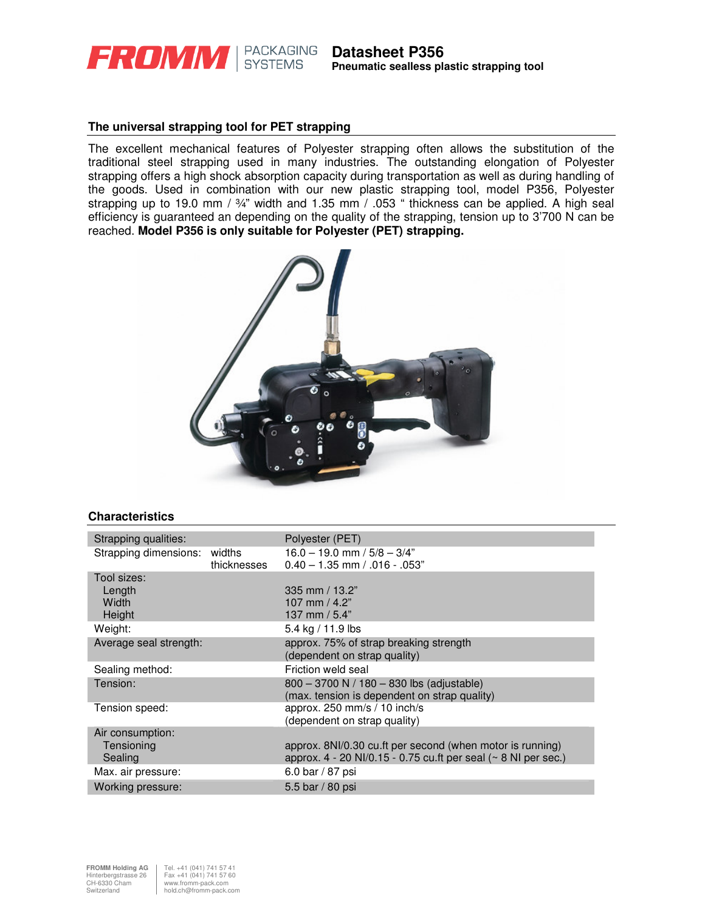

# **The universal strapping tool for PET strapping**

The excellent mechanical features of Polyester strapping often allows the substitution of the traditional steel strapping used in many industries. The outstanding elongation of Polyester strapping offers a high shock absorption capacity during transportation as well as during handling of the goods. Used in combination with our new plastic strapping tool, model P356, Polyester strapping up to 19.0 mm / 3/4" width and 1.35 mm / .053 " thickness can be applied. A high seal efficiency is guaranteed an depending on the quality of the strapping, tension up to 3'700 N can be reached. **Model P356 is only suitable for Polyester (PET) strapping.** 



## **Characteristics**

| Strapping qualities:   |             | Polyester (PET)                                                        |
|------------------------|-------------|------------------------------------------------------------------------|
| Strapping dimensions:  | widths      | $16.0 - 19.0$ mm $/ 5/8 - 3/4"$                                        |
|                        | thicknesses | $0.40 - 1.35$ mm $/ .016 - .053$ "                                     |
| Tool sizes:            |             |                                                                        |
| Length                 |             | 335 mm $/$ 13.2"                                                       |
| Width                  |             | 107 mm $/$ 4.2"                                                        |
| Height                 |             | 137 mm / 5.4"                                                          |
| Weight:                |             | 5.4 kg / 11.9 lbs                                                      |
| Average seal strength: |             | approx. 75% of strap breaking strength                                 |
|                        |             | (dependent on strap quality)                                           |
| Sealing method:        |             | Friction weld seal                                                     |
| Tension:               |             | 800 - 3700 N / 180 - 830 lbs (adjustable)                              |
|                        |             | (max. tension is dependent on strap quality)                           |
| Tension speed:         |             | approx. $250 \text{ mm/s} / 10 \text{ inch/s}$                         |
|                        |             | (dependent on strap quality)                                           |
| Air consumption:       |             |                                                                        |
| Tensioning             |             | approx. 8NI/0.30 cu.ft per second (when motor is running)              |
| Sealing                |             | approx. $4 - 20$ NI/0.15 - 0.75 cu.ft per seal ( $\sim 8$ NI per sec.) |
| Max. air pressure:     |             | 6.0 bar / 87 psi                                                       |
| Working pressure:      |             | 5.5 bar / 80 psi                                                       |